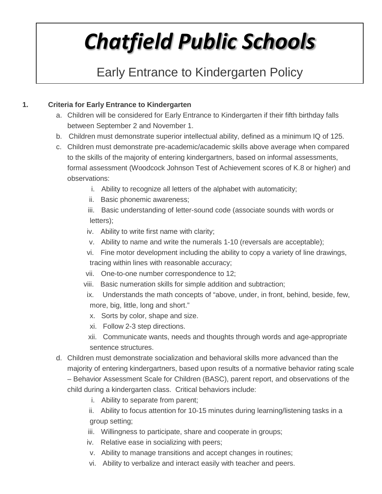# *Chatfield Public Schools*

# Early Entrance to Kindergarten Policy

# **1. Criteria for Early Entrance to Kindergarten**

- a. Children will be considered for Early Entrance to Kindergarten if their fifth birthday falls between September 2 and November 1.
- b. Children must demonstrate superior intellectual ability, defined as a minimum IQ of 125.
- c. Children must demonstrate pre-academic/academic skills above average when compared to the skills of the majority of entering kindergartners, based on informal assessments, formal assessment (Woodcock Johnson Test of Achievement scores of K.8 or higher) and observations:
	- i. Ability to recognize all letters of the alphabet with automaticity;
	- ii. Basic phonemic awareness;
	- iii. Basic understanding of letter-sound code (associate sounds with words or letters);
	- iv. Ability to write first name with clarity;
	- v. Ability to name and write the numerals 1-10 (reversals are acceptable);
	- vi. Fine motor development including the ability to copy a variety of line drawings, tracing within lines with reasonable accuracy;
	- vii. One-to-one number correspondence to 12;
	- viii. Basic numeration skills for simple addition and subtraction;
	- ix. Understands the math concepts of "above, under, in front, behind, beside, few, more, big, little, long and short."
	- x. Sorts by color, shape and size.
	- xi. Follow 2-3 step directions.
	- xii. Communicate wants, needs and thoughts through words and age-appropriate sentence structures.
- d. Children must demonstrate socialization and behavioral skills more advanced than the majority of entering kindergartners, based upon results of a normative behavior rating scale – Behavior Assessment Scale for Children (BASC), parent report, and observations of the child during a kindergarten class. Critical behaviors include:
	- i. Ability to separate from parent;
	- ii. Ability to focus attention for 10-15 minutes during learning/listening tasks in a group setting;
	- iii. Willingness to participate, share and cooperate in groups;
	- iv. Relative ease in socializing with peers;
	- v. Ability to manage transitions and accept changes in routines;
	- vi. Ability to verbalize and interact easily with teacher and peers.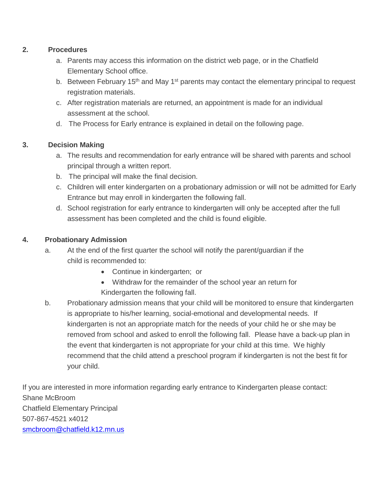### **2. Procedures**

- a. Parents may access this information on the district web page, or in the Chatfield Elementary School office.
- b. Between February 15<sup>th</sup> and May 1<sup>st</sup> parents may contact the elementary principal to request registration materials.
- c. After registration materials are returned, an appointment is made for an individual assessment at the school.
- d. The Process for Early entrance is explained in detail on the following page.

# **3. Decision Making**

- a. The results and recommendation for early entrance will be shared with parents and school principal through a written report.
- b. The principal will make the final decision.
- c. Children will enter kindergarten on a probationary admission or will not be admitted for Early Entrance but may enroll in kindergarten the following fall.
- d. School registration for early entrance to kindergarten will only be accepted after the full assessment has been completed and the child is found eligible.

# **4. Probationary Admission**

- a. At the end of the first quarter the school will notify the parent/guardian if the child is recommended to:
	- Continue in kindergarten; or
	- Withdraw for the remainder of the school year an return for Kindergarten the following fall.
- b. Probationary admission means that your child will be monitored to ensure that kindergarten is appropriate to his/her learning, social-emotional and developmental needs. If kindergarten is not an appropriate match for the needs of your child he or she may be removed from school and asked to enroll the following fall. Please have a back-up plan in the event that kindergarten is not appropriate for your child at this time. We highly recommend that the child attend a preschool program if kindergarten is not the best fit for your child.

If you are interested in more information regarding early entrance to Kindergarten please contact: Shane McBroom Chatfield Elementary Principal 507-867-4521 x4012 [smcbroom@chatfield.k12.mn.us](mailto:smcbroom@chatfield.k12.mn.us)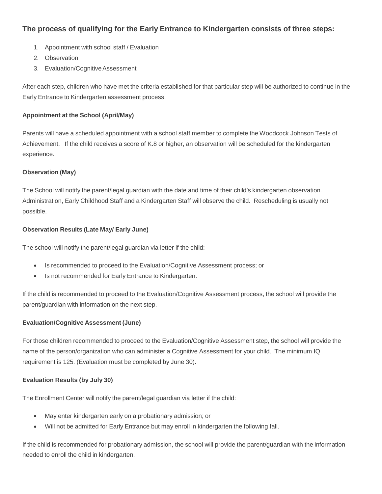# **The process of qualifying for the Early Entrance to Kindergarten consists of three steps:**

- 1. Appointment with school staff / Evaluation
- 2. Observation
- 3. Evaluation/CognitiveAssessment

After each step, children who have met the criteria established for that particular step will be authorized to continue in the Early Entrance to Kindergarten assessment process.

#### **Appointment at the School (April/May)**

Parents will have a scheduled appointment with a school staff member to complete the Woodcock Johnson Tests of Achievement. If the child receives a score of K.8 or higher, an observation will be scheduled for the kindergarten experience.

#### **Observation (May)**

The School will notify the parent/legal guardian with the date and time of their child's kindergarten observation. Administration, Early Childhood Staff and a Kindergarten Staff will observe the child. Rescheduling is usually not possible.

#### **Observation Results (Late May/ Early June)**

The school will notify the parent/legal guardian via letter if the child:

- Is recommended to proceed to the Evaluation/Cognitive Assessment process; or
- Is not recommended for Early Entrance to Kindergarten.

If the child is recommended to proceed to the Evaluation/Cognitive Assessment process, the school will provide the parent/guardian with information on the next step.

#### **Evaluation/Cognitive Assessment (June)**

For those children recommended to proceed to the Evaluation/Cognitive Assessment step, the school will provide the name of the person/organization who can administer a Cognitive Assessment for your child. The minimum IQ requirement is 125. (Evaluation must be completed by June 30).

#### **Evaluation Results (by July 30)**

The Enrollment Center will notify the parent/legal guardian via letter if the child:

- May enter kindergarten early on a probationary admission; or
- Will not be admitted for Early Entrance but may enroll in kindergarten the following fall.

If the child is recommended for probationary admission, the school will provide the parent/guardian with the information needed to enroll the child in kindergarten.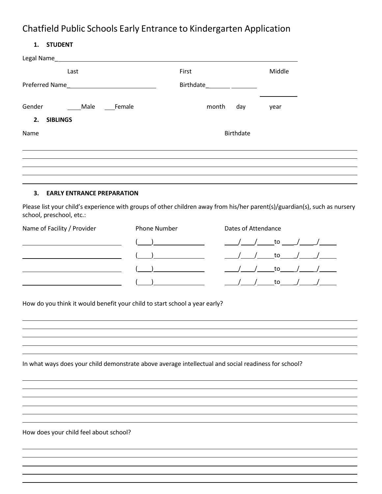# Chatfield Public Schools Early Entrance to Kindergarten Application

| <b>STUDENT</b> |
|----------------|
|                |

| Last                                                                                                                                                   |                     | First |                  |                     | Middle                       |                                      |
|--------------------------------------------------------------------------------------------------------------------------------------------------------|---------------------|-------|------------------|---------------------|------------------------------|--------------------------------------|
|                                                                                                                                                        |                     |       |                  |                     |                              |                                      |
| Gender<br>_____Male                                                                                                                                    | ____Female          | month | day              |                     | year                         |                                      |
| 2.<br><b>SIBLINGS</b>                                                                                                                                  |                     |       |                  |                     |                              |                                      |
| Name                                                                                                                                                   |                     |       | <b>Birthdate</b> |                     |                              |                                      |
|                                                                                                                                                        |                     |       |                  |                     |                              |                                      |
| 3.<br><b>EARLY ENTRANCE PREPARATION</b>                                                                                                                |                     |       |                  |                     |                              |                                      |
| Please list your child's experience with groups of other children away from his/her parent(s)/guardian(s), such as nursery<br>school, preschool, etc.: |                     |       |                  |                     |                              |                                      |
| Name of Facility / Provider                                                                                                                            | <b>Phone Number</b> |       |                  | Dates of Attendance |                              |                                      |
| <u> 1989 - Johann Barnett, fransk politik (</u>                                                                                                        |                     |       |                  |                     |                              | <u>/ to / / _ _ / _</u>              |
|                                                                                                                                                        |                     |       |                  |                     | ___/ _____ to______/ _______ |                                      |
|                                                                                                                                                        |                     |       |                  |                     | /____/_____to_____/______    |                                      |
|                                                                                                                                                        |                     |       |                  |                     |                              | ___/_________to______/______/_______ |
|                                                                                                                                                        |                     |       |                  |                     |                              |                                      |
| How do you think it would benefit your child to start school a year early?                                                                             |                     |       |                  |                     |                              |                                      |
|                                                                                                                                                        |                     |       |                  |                     |                              |                                      |
|                                                                                                                                                        |                     |       |                  |                     |                              |                                      |
|                                                                                                                                                        |                     |       |                  |                     |                              |                                      |
| In what ways does your child demonstrate above average intellectual and social readiness for school?                                                   |                     |       |                  |                     |                              |                                      |
|                                                                                                                                                        |                     |       |                  |                     |                              |                                      |
|                                                                                                                                                        |                     |       |                  |                     |                              |                                      |
|                                                                                                                                                        |                     |       |                  |                     |                              |                                      |
|                                                                                                                                                        |                     |       |                  |                     |                              |                                      |
|                                                                                                                                                        |                     |       |                  |                     |                              |                                      |

How does your child feel about school?